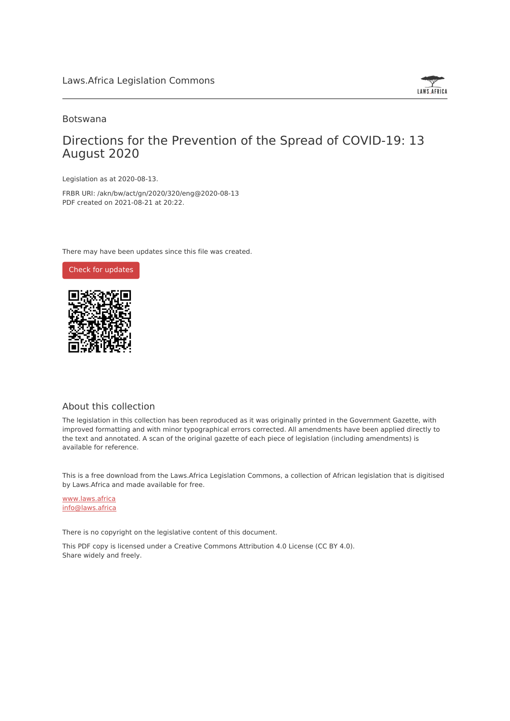

### Botswana

## Directions for the Prevention of the Spread of COVID-19: 13 August 2020

Legislation as at 2020-08-13.

FRBR URI: /akn/bw/act/gn/2020/320/eng@2020-08-13 PDF created on 2021-08-21 at 20:22.

There may have been updates since this file was created.



#### About this collection

The legislation in this collection has been reproduced as it was originally printed in the Government Gazette, with improved formatting and with minor typographical errors corrected. All amendments have been applied directly to the text and annotated. A scan of the original gazette of each piece of legislation (including amendments) is available for reference.

This is a free download from the Laws.Africa Legislation Commons, a collection of African legislation that is digitised by Laws.Africa and made available for free.

[www.laws.africa](https://www.laws.africa) [info@laws.africa](mailto:info@laws.africa)

There is no copyright on the legislative content of this document.

This PDF copy is licensed under a Creative Commons Attribution 4.0 License (CC BY 4.0). Share widely and freely.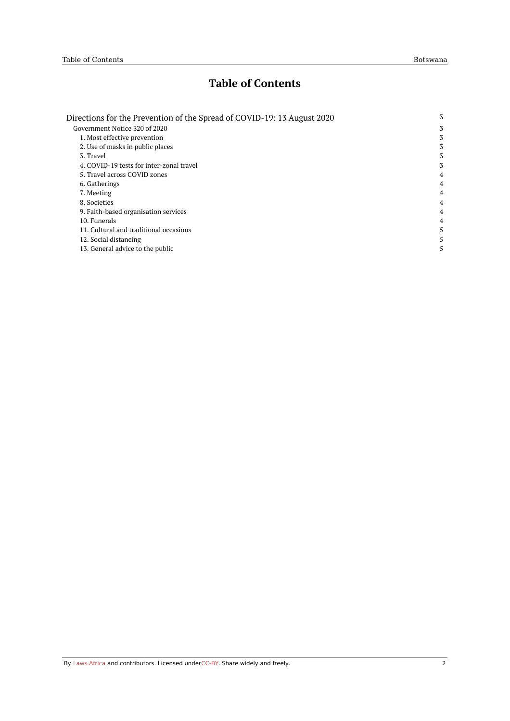# **Table of Contents**

| Directions for the Prevention of the Spread of COVID-19: 13 August 2020 | 3 |
|-------------------------------------------------------------------------|---|
| Government Notice 320 of 2020                                           | 3 |
| 1. Most effective prevention                                            | 3 |
| 2. Use of masks in public places                                        | 3 |
| 3. Travel                                                               | 3 |
| 4. COVID-19 tests for inter-zonal travel                                | 3 |
| 5. Travel across COVID zones                                            | 4 |
| 6. Gatherings                                                           | 4 |
| 7. Meeting                                                              | 4 |
| 8. Societies                                                            | 4 |
| 9. Faith-based organisation services                                    | 4 |
| 10. Funerals                                                            | 4 |
| 11. Cultural and traditional occasions                                  | 5 |
| 12. Social distancing                                                   | 5 |
| 13. General advice to the public                                        | 5 |
|                                                                         |   |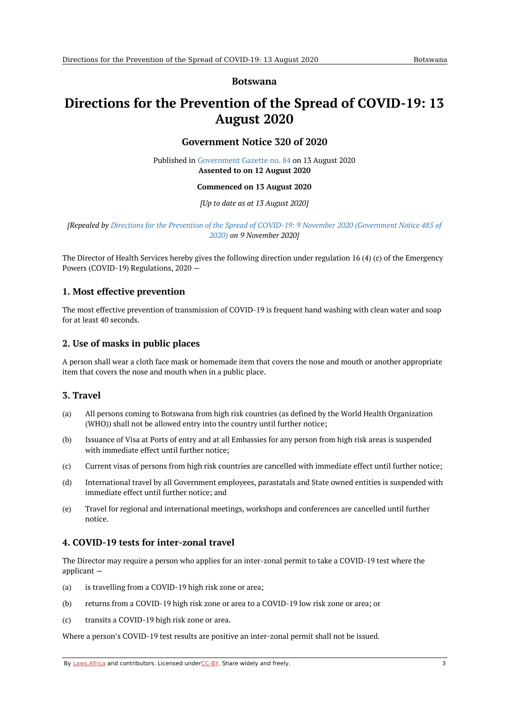#### **Botswana**

# <span id="page-2-1"></span><span id="page-2-0"></span>**Directions for the Prevention of the Spread of COVID-19: 13 August 2020**

## **Government Notice 320 of 2020**

Published in [Government](https://commons.laws.africa/akn/bw/act/gn/2020/320/media/publication/bw-act-gn-2020-320-publication-document.pdf) Gazette no. 84 on 13 August 2020 **Assented to on 12 August 2020**

#### **Commenced on 13 August 2020**

*[Up to date as at 13 August 2020]*

[Repealed by Directions for the Prevention of the Spread of COVID-19: 9 November 2020 [\(Government](https://africanlii.org/akn/bw/act/gn/2020/485) Notice 485 of *2020) on 9 November 2020]*

The Director of Health Services hereby gives the following direction under regulation 16 (4) (c) of the Emergency Powers (COVID-19) Regulations, 2020 —

## <span id="page-2-2"></span>**1. Most effective prevention**

The most effective prevention of transmission of COVID-19 is frequent hand washing with clean water and soap for at least 40 seconds.

## <span id="page-2-3"></span>**2. Use of masks in public places**

A person shall wear a cloth face mask or homemade item that covers the nose and mouth or another appropriate item that covers the nose and mouth when in a public place.

## <span id="page-2-4"></span>**3. Travel**

- (a) All persons coming to Botswana from high risk countries (as defined by the World Health Organization (WHO)) shall not be allowed entry into the country until further notice;
- (b) Issuance of Visa at Ports of entry and at all Embassies for any person from high risk areas is suspended with immediate effect until further notice;
- (c) Current visas of persons from high risk countries are cancelled with immediate effect until further notice;
- (d) International travel by all Government employees, parastatals and State owned entities is suspended with immediate effect until further notice; and
- (e) Travel for regional and international meetings, workshops and conferences are cancelled until further notice.

## <span id="page-2-5"></span>**4. COVID-19 tests for inter-zonal travel**

The Director may require a person who applies for an inter-zonal permit to take a COVID-19 test where the applicant —

- (a) is travelling from a COVID-19 high risk zone or area;
- (b) returns from a COVID-19 high risk zone or area to a COVID-19 low risk zone or area; or
- (c) transits a COVID-19 high risk zone or area.

Where a person's COVID-19 test results are positive an inter-zonal permit shall not be issued.

By [Laws.Africa](https://edit.laws.africa/widgets/pdf-attribution) and contributors. Licensed und[erCC-B](https://edit.laws.africa/widgets/pdf-cc-by)Y. Share widely and freely. 3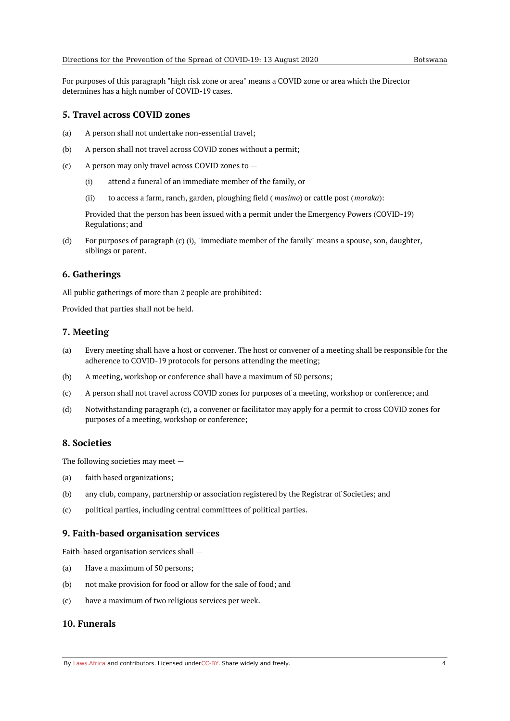For purposes of this paragraph "high risk zone or area" means a COVID zone or area which the Director determines has a high number of COVID-19 cases.

### <span id="page-3-0"></span>**5. Travel across COVID zones**

- (a) A person shall not undertake non-essential travel;
- (b) A person shall not travel across COVID zones without a permit;
- (c) A person may only travel across COVID zones to —
	- (i) attend a funeral of an immediate member of the family, or
	- (ii) to access a farm, ranch, garden, ploughing field ( *masimo*) or cattle post (*moraka*):

Provided that the person has been issued with a permit under the Emergency Powers (COVID-19) Regulations; and

(d) For purposes of paragraph (c) (i), "immediate member of the family" means a spouse, son, daughter, siblings or parent.

#### <span id="page-3-1"></span>**6. Gatherings**

All public gatherings of more than 2 people are prohibited:

Provided that parties shall not be held.

### <span id="page-3-2"></span>**7. Meeting**

- (a) Every meeting shall have a host or convener. The host or convener of a meeting shall be responsible for the adherence to COVID-19 protocols for persons attending the meeting;
- (b) A meeting, workshop or conference shall have a maximum of 50 persons;
- (c) A person shall not travel across COVID zones for purposes of a meeting, workshop or conference; and
- (d) Notwithstanding paragraph (c), a convener or facilitator may apply for a permit to cross COVID zones for purposes of a meeting, workshop or conference;

#### <span id="page-3-3"></span>**8. Societies**

The following societies may meet —

- (a) faith based organizations;
- (b) any club, company, partnership or association registered by the Registrar of Societies; and
- (c) political parties, including central committees of political parties.

## <span id="page-3-4"></span>**9. Faith-based organisation services**

Faith-based organisation services shall —

- (a) Have a maximum of 50 persons;
- (b) not make provision for food or allow for the sale of food; and
- (c) have a maximum of two religious services per week.

#### <span id="page-3-5"></span>**10. Funerals**

By [Laws.Africa](https://edit.laws.africa/widgets/pdf-attribution) and contributors. Licensed und[erCC-B](https://edit.laws.africa/widgets/pdf-cc-by)Y. Share widely and freely. 4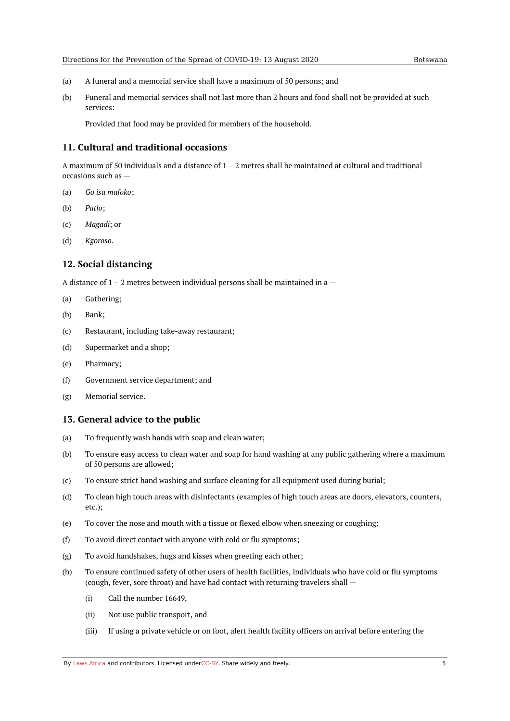- (a) A funeral and a memorial service shall have a maximum of 50 persons; and
- (b) Funeral and memorial services shall not last more than 2 hours and food shall not be provided at such services:

Provided that food may be provided for members of the household.

#### <span id="page-4-0"></span>**11. Cultural and traditional occasions**

A maximum of 50 individuals and a distance of  $1 - 2$  metres shall be maintained at cultural and traditional occasions such as —

- (a) *Go isa mafoko*;
- (b) *Patlo*;
- (c) *Magadi*; or
- (d) *Kgoroso*.

#### <span id="page-4-1"></span>**12. Social distancing**

A distance of  $1 - 2$  metres between individual persons shall be maintained in a  $-$ 

- (a) Gathering;
- (b) Bank;
- (c) Restaurant, including take-away restaurant;
- (d) Supermarket and a shop;
- (e) Pharmacy;
- (f) Government service department; and
- (g) Memorial service.

#### <span id="page-4-2"></span>**13. General advice to the public**

- (a) To frequently wash hands with soap and clean water;
- (b) To ensure easy access to clean water and soap for hand washing at any public gathering where a maximum of 50 persons are allowed;
- (c) To ensure strict hand washing and surface cleaning for all equipment used during burial;
- (d) To clean high touch areas with disinfectants (examples of high touch areas are doors, elevators, counters, etc.);
- (e) To cover the nose and mouth with a tissue or flexed elbow when sneezing or coughing;
- (f) To avoid direct contact with anyone with cold or flu symptoms;
- (g) To avoid handshakes, hugs and kisses when greeting each other;
- (h) To ensure continued safety of other users of health facilities, individuals who have cold or flu symptoms (cough, fever, sore throat) and have had contact with returning travelers shall —
	- (i) Call the number 16649,
	- (ii) Not use public transport, and
	- (iii) If using a private vehicle or on foot, alert health facility officers on arrival before entering the